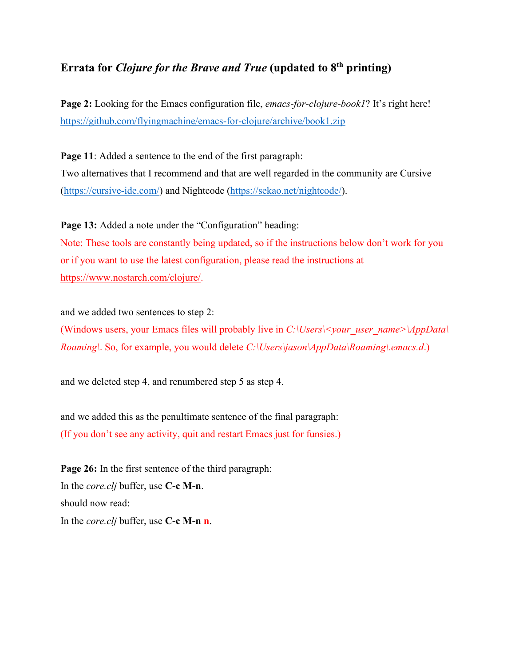## **Errata for** *Clojure for the Brave and True* **(updated to 8th printing)**

**Page 2:** Looking for the Emacs configuration file, *emacs-for-clojure-book1*? It's right here! <https://github.com/flyingmachine/emacs-for-clojure/archive/book1.zip>

**Page 11**: Added a sentence to the end of the first paragraph: Two alternatives that I recommend and that are well regarded in the community are Cursive [\(https://cursive-ide.com/\)](https://cursive-ide.com/) and Nightcode [\(https://sekao.net/nightcode/\)](https://sekao.net/nightcode/).

Page 13: Added a note under the "Configuration" heading:

Note: These tools are constantly being updated, so if the instructions below don't work for you or if you want to use the latest configuration, please read the instructions at [https://www.nostarch.com/clojure/.](https://www.nostarch.com/clojure/)

and we added two sentences to step 2:

(Windows users, your Emacs files will probably live in *C:\Users\<your\_user\_name>\AppData\ Roaming\*. So, for example, you would delete *C:\Users\jason\AppData\Roaming\.emacs.d*.)

and we deleted step 4, and renumbered step 5 as step 4.

and we added this as the penultimate sentence of the final paragraph: (If you don't see any activity, quit and restart Emacs just for funsies.)

**Page 26:** In the first sentence of the third paragraph: In the *core.clj* buffer, use **C-c M-n**. should now read: In the *core.clj* buffer, use **C-c M-n n**.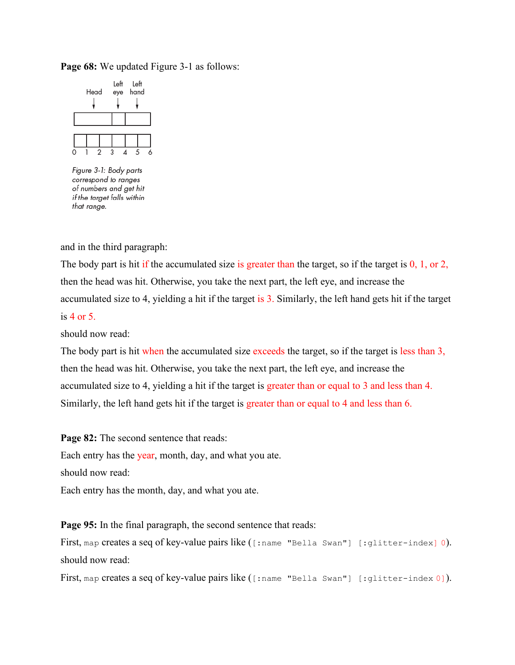## **Page 68:** We updated Figure 3-1 as follows:



Figure 3-1: Body parts correspond to ranges of numbers and get hit if the target falls within that range.

and in the third paragraph:

The body part is hit if the accumulated size is greater than the target, so if the target is 0, 1, or 2, then the head was hit. Otherwise, you take the next part, the left eye, and increase the accumulated size to 4, yielding a hit if the target is 3. Similarly, the left hand gets hit if the target is 4 or 5.

should now read:

The body part is hit when the accumulated size exceeds the target, so if the target is less than 3, then the head was hit. Otherwise, you take the next part, the left eye, and increase the accumulated size to 4, yielding a hit if the target is greater than or equal to 3 and less than 4. Similarly, the left hand gets hit if the target is greater than or equal to 4 and less than 6.

Page 82: The second sentence that reads: Each entry has the year, month, day, and what you ate. should now read: Each entry has the month, day, and what you ate.

**Page 95:** In the final paragraph, the second sentence that reads:

First, map creates a seq of key-value pairs like ([:name "Bella Swan"] [:glitter-index] 0). should now read:

First, map creates a seq of key-value pairs like ([:name "Bella Swan"] [:glitter-index 0]).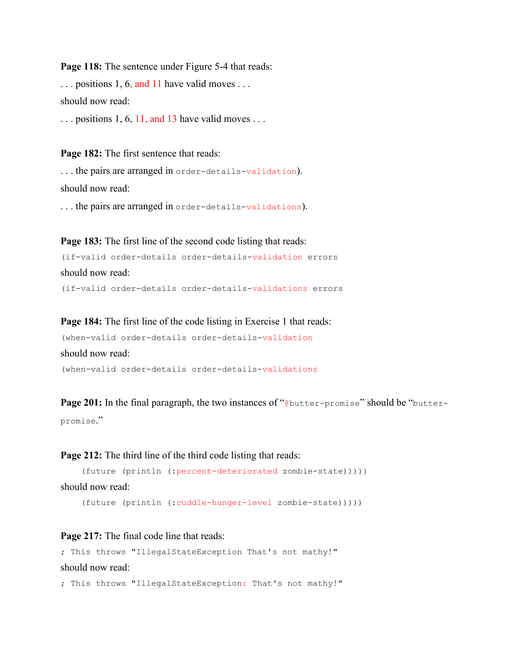Page 118: The sentence under Figure 5-4 that reads:  $\ldots$  positions 1, 6, and 11 have valid moves  $\ldots$ should now read:  $\ldots$  positions 1, 6, 11, and 13 have valid moves  $\ldots$ 

**Page 182:** The first sentence that reads:

. . . the pairs are arranged in order-details-validation). should now read: . . . the pairs are arranged in order-details-validations).

**Page 183:** The first line of the second code listing that reads:

```
(if-valid order-details order-details-validation errors
should now read:
(if-valid order-details order-details-validations errors
```
**Page 184:** The first line of the code listing in Exercise 1 that reads:

(when-valid order-details order-details-validation should now read: (when-valid order-details order-details-validations

**Page 201:** In the final paragraph, the two instances of "@butter-promise" should be "butterpromise."

**Page 212:** The third line of the third code listing that reads:

```
 (future (println (:percent-deteriorated zombie-state)))))
```

```
should now read:
```
(future (println (:cuddle-hunger-level zombie-state)))))

Page 217: The final code line that reads:

```
; This throws "IllegalStateException That's not mathy!"
should now read:
```
; This throws "IllegalStateException: That's not mathy!"